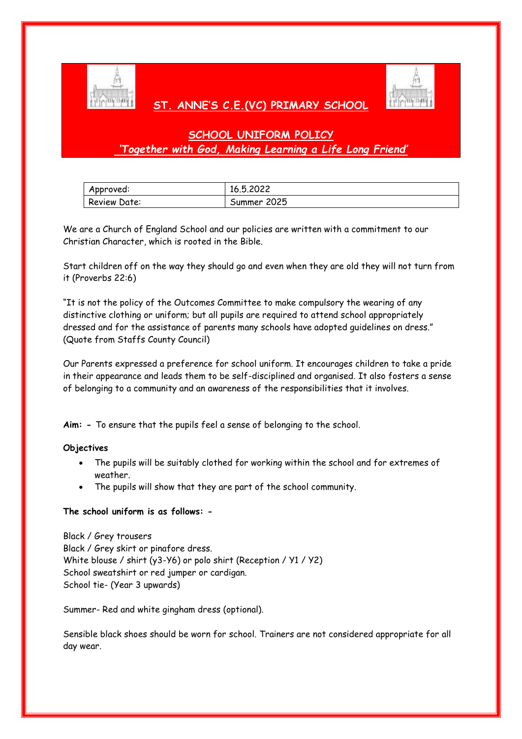

## **ST. ANNE'S C.E.(VC) PRIMARY SCHOOL**



# **SCHOOL UNIFORM POLICY** *'Together with God, Making Learning a Life Long Friend'*

| Approved:    | 16.5.2022   |
|--------------|-------------|
| Review Date: | Summer 2025 |

We are a Church of England School and our policies are written with a commitment to our Christian Character, which is rooted in the Bible.

Start children off on the way they should go and even when they are old they will not turn from it (Proverbs 22:6)

"It is not the policy of the Outcomes Committee to make compulsory the wearing of any distinctive clothing or uniform; but all pupils are required to attend school appropriately dressed and for the assistance of parents many schools have adopted guidelines on dress." (Quote from Staffs County Council)

Our Parents expressed a preference for school uniform. It encourages children to take a pride in their appearance and leads them to be self-disciplined and organised. It also fosters a sense of belonging to a community and an awareness of the responsibilities that it involves.

**Aim: -** To ensure that the pupils feel a sense of belonging to the school.

### **Objectives**

- The pupils will be suitably clothed for working within the school and for extremes of weather.
- The pupils will show that they are part of the school community.

## **The school uniform is as follows: -**

Black / Grey trousers Black / Grey skirt or pinafore dress. White blouse / shirt (y3-Y6) or polo shirt (Reception / Y1 / Y2) School sweatshirt or red jumper or cardigan. School tie- (Year 3 upwards)

Summer- Red and white gingham dress (optional).

Sensible black shoes should be worn for school. Trainers are not considered appropriate for all day wear.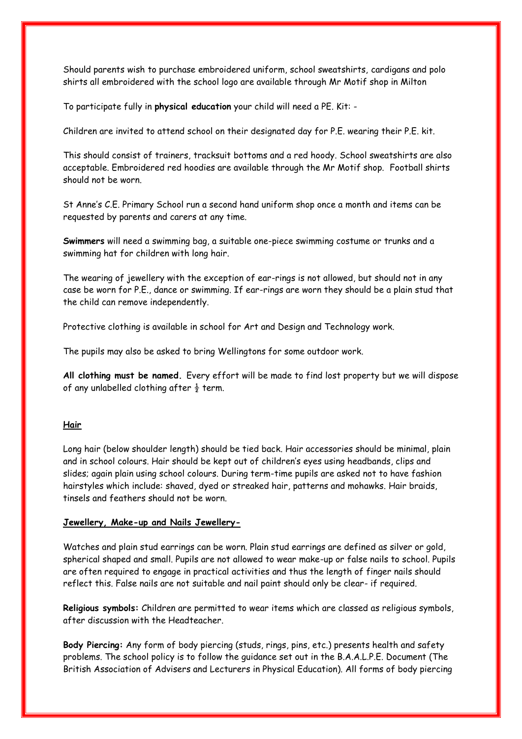Should parents wish to purchase embroidered uniform, school sweatshirts, cardigans and polo shirts all embroidered with the school logo are available through Mr Motif shop in Milton

To participate fully in **physical education** your child will need a PE. Kit: -

Children are invited to attend school on their designated day for P.E. wearing their P.E. kit.

This should consist of trainers, tracksuit bottoms and a red hoody. School sweatshirts are also acceptable. Embroidered red hoodies are available through the Mr Motif shop. Football shirts should not be worn.

St Anne's C.E. Primary School run a second hand uniform shop once a month and items can be requested by parents and carers at any time.

**Swimmers** will need a swimming bag, a suitable one-piece swimming costume or trunks and a swimming hat for children with long hair.

The wearing of jewellery with the exception of ear-rings is not allowed, but should not in any case be worn for P.E., dance or swimming. If ear-rings are worn they should be a plain stud that the child can remove independently.

Protective clothing is available in school for Art and Design and Technology work.

The pupils may also be asked to bring Wellingtons for some outdoor work.

**All clothing must be named.** Every effort will be made to find lost property but we will dispose of any unlabelled clothing after  $\frac{1}{2}$  term.

### **Hair**

Long hair (below shoulder length) should be tied back. Hair accessories should be minimal, plain and in school colours. Hair should be kept out of children's eyes using headbands, clips and slides; again plain using school colours. During term-time pupils are asked not to have fashion hairstyles which include: shaved, dyed or streaked hair, patterns and mohawks. Hair braids, tinsels and feathers should not be worn.

#### **Jewellery, Make-up and Nails Jewellery-**

Watches and plain stud earrings can be worn. Plain stud earrings are defined as silver or gold, spherical shaped and small. Pupils are not allowed to wear make-up or false nails to school. Pupils are often required to engage in practical activities and thus the length of finger nails should reflect this. False nails are not suitable and nail paint should only be clear- if required.

**Religious symbols:** Children are permitted to wear items which are classed as religious symbols, after discussion with the Headteacher.

**Body Piercing:** Any form of body piercing (studs, rings, pins, etc.) presents health and safety problems. The school policy is to follow the guidance set out in the B.A.A.L.P.E. Document (The British Association of Advisers and Lecturers in Physical Education). All forms of body piercing